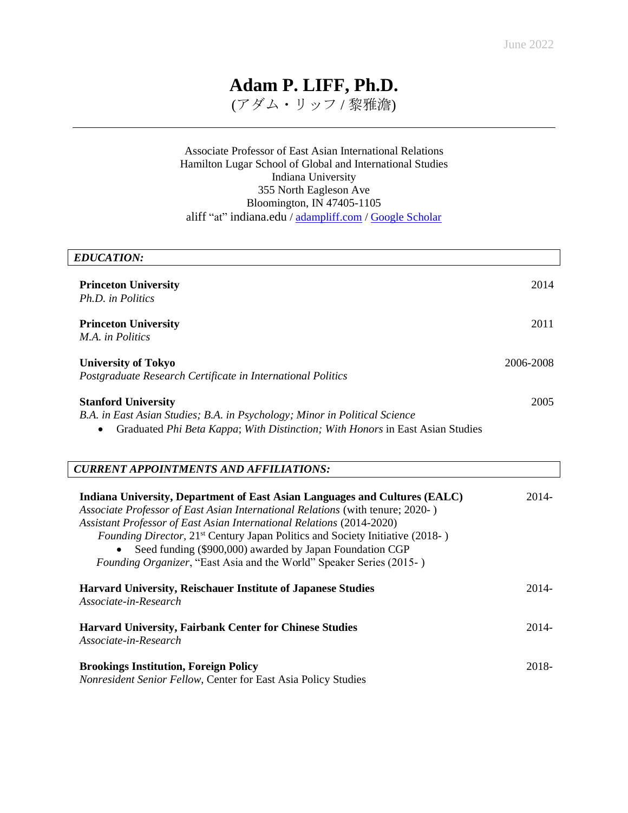# **Adam P. LIFF, Ph.D.**

(アダム・リッフ / 黎雅澹)

## Associate Professor of East Asian International Relations Hamilton Lugar School of Global and International Studies Indiana University 355 North Eagleson Ave Bloomington, IN 47405-1105 aliff "at" indiana.edu / [adampliff.com](https://adampliff.com/) / [Google Scholar](https://scholar.google.com/citations?user=Sw5arW4AAAAJ&hl=en)

| <b>EDUCATION:</b>                                                                                                                                                                                                                                                                                                                                                                                                                                                             |           |
|-------------------------------------------------------------------------------------------------------------------------------------------------------------------------------------------------------------------------------------------------------------------------------------------------------------------------------------------------------------------------------------------------------------------------------------------------------------------------------|-----------|
| <b>Princeton University</b><br>Ph.D. in Politics                                                                                                                                                                                                                                                                                                                                                                                                                              | 2014      |
| <b>Princeton University</b><br>M.A. in Politics                                                                                                                                                                                                                                                                                                                                                                                                                               | 2011      |
| <b>University of Tokyo</b><br>Postgraduate Research Certificate in International Politics                                                                                                                                                                                                                                                                                                                                                                                     | 2006-2008 |
| <b>Stanford University</b><br>B.A. in East Asian Studies; B.A. in Psychology; Minor in Political Science<br>Graduated Phi Beta Kappa; With Distinction; With Honors in East Asian Studies                                                                                                                                                                                                                                                                                     | 2005      |
| <b>CURRENT APPOINTMENTS AND AFFILIATIONS:</b>                                                                                                                                                                                                                                                                                                                                                                                                                                 |           |
| Indiana University, Department of East Asian Languages and Cultures (EALC)<br>Associate Professor of East Asian International Relations (with tenure; 2020-)<br>Assistant Professor of East Asian International Relations (2014-2020)<br><i>Founding Director,</i> 21 <sup>st</sup> Century Japan Politics and Society Initiative (2018-)<br>Seed funding (\$900,000) awarded by Japan Foundation CGP<br>Founding Organizer, "East Asia and the World" Speaker Series (2015-) | 2014-     |
| <b>Harvard University, Reischauer Institute of Japanese Studies</b>                                                                                                                                                                                                                                                                                                                                                                                                           | $2014 -$  |

*Associate-in-Research*

| <b>Harvard University, Fairbank Center for Chinese Studies</b><br>Associate-in-Research | 2014- |
|-----------------------------------------------------------------------------------------|-------|
| <b>Brookings Institution, Foreign Policy</b>                                            | 2018- |

*Nonresident Senior Fellow*, Center for East Asia Policy Studies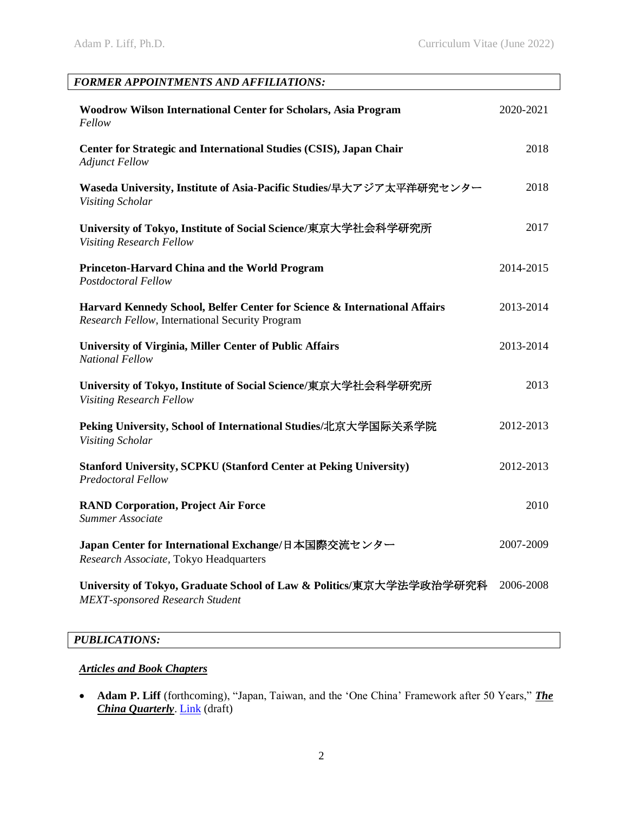| FORMER APPOINTMENTS AND AFFILIATIONS:                                                                                        |           |
|------------------------------------------------------------------------------------------------------------------------------|-----------|
| Woodrow Wilson International Center for Scholars, Asia Program<br>Fellow                                                     | 2020-2021 |
| Center for Strategic and International Studies (CSIS), Japan Chair<br><b>Adjunct Fellow</b>                                  | 2018      |
| Waseda University, Institute of Asia-Pacific Studies/早大アジア太平洋研究センター<br>Visiting Scholar                                      | 2018      |
| University of Tokyo, Institute of Social Science/東京大学社会科学研究所<br><b>Visiting Research Fellow</b>                              | 2017      |
| Princeton-Harvard China and the World Program<br><b>Postdoctoral Fellow</b>                                                  | 2014-2015 |
| Harvard Kennedy School, Belfer Center for Science & International Affairs<br>Research Fellow, International Security Program | 2013-2014 |
| <b>University of Virginia, Miller Center of Public Affairs</b><br><b>National Fellow</b>                                     | 2013-2014 |
| University of Tokyo, Institute of Social Science/東京大学社会科学研究所<br><b>Visiting Research Fellow</b>                              | 2013      |
| Peking University, School of International Studies/北京大学国际关系学院<br>Visiting Scholar                                            | 2012-2013 |
| <b>Stanford University, SCPKU (Stanford Center at Peking University)</b><br><b>Predoctoral Fellow</b>                        | 2012-2013 |
| <b>RAND Corporation, Project Air Force</b><br>Summer Associate                                                               | 2010      |
| Japan Center for International Exchange/日本国際交流センター<br>Research Associate, Tokyo Headquarters                                 | 2007-2009 |
| University of Tokyo, Graduate School of Law & Politics/東京大学法学政治学研究科<br><b>MEXT-sponsored Research Student</b>                | 2006-2008 |
| PUBLICATIONS:                                                                                                                |           |

# *Articles and Book Chapters*

• **Adam P. Liff** (forthcoming), "Japan, Taiwan, and the 'One China' Framework after 50 Years," *The China Quarterly*. [Link](https://adampliff.files.wordpress.com/2022/06/liff_japan-taiwan-one-china_am-version.pdf) (draft)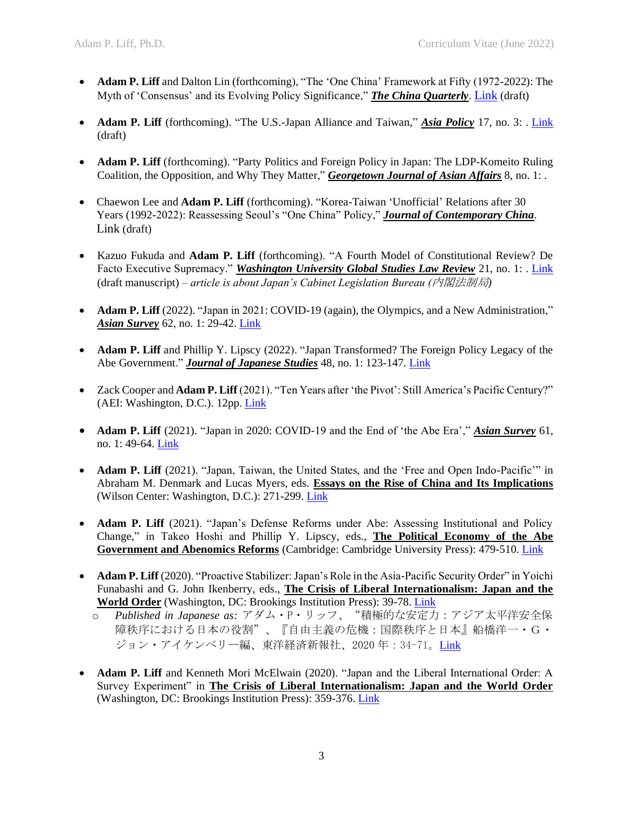- **Adam P. Liff** and Dalton Lin (forthcoming), "The 'One China' Framework at Fifty (1972-2022): The Myth of 'Consensus' and its Evolving Policy Significance," *The China Quarterly*. [Link](https://adampliff.files.wordpress.com/2022/06/lifflin_the-one-china-framework-at-50_forthcoming.pdf) (draft)
- **Adam P. Liff** (forthcoming). "The U.S.-Japan Alliance and Taiwan," *Asia Policy* 17, no. 3: . [Link](https://adampliff.files.wordpress.com/2022/06/liff_us-japan-alliance-taiwan_asia-policy_forthcoming-2.pdf) (draft)
- **Adam P. Liff** (forthcoming). "Party Politics and Foreign Policy in Japan: The LDP-Komeito Ruling Coalition, the Opposition, and Why They Matter," *Georgetown Journal of Asian Affairs* 8, no. 1: .
- Chaewon Lee and **Adam P. Liff** (forthcoming). "Korea-Taiwan 'Unofficial' Relations after 30 Years (1992-2022): Reassessing Seoul's "One China" Policy," *Journal of Contemporary China*. Link (draft)
- Kazuo Fukuda and **Adam P. Liff** (forthcoming). "A Fourth Model of Constitutional Review? De Facto Executive Supremacy." *Washington University Global Studies Law Review* 21, no. 1: . [Link](https://adampliff.files.wordpress.com/2022/02/fukudaliff2022_gslw_de-facto-executive-supremacy.pdf) (draft manuscript) – *article is about Japan's Cabinet Legislation Bureau (*内閣法制局*)*
- **Adam P. Liff** (2022). "Japan in 2021: COVID-19 (again), the Olympics, and a New Administration," *Asian Survey* 62, no. 1: 29-42. [Link](https://adampliff.files.wordpress.com/2022/03/liff2022_asian-survey_japan-in-2021.pdf)
- **Adam P. Liff** and Phillip Y. Lipscy (2022). "Japan Transformed? The Foreign Policy Legacy of the Abe Government." *Journal of Japanese Studies* 48, no. 1: 123-147*.* [Link](https://adampliff.files.wordpress.com/2021/09/lifflipscy2022_jjs_abe-fp-legacy_aom.pdf)
- Zack Cooper and **Adam P. Liff** (2021). "Ten Years after 'the Pivot': Still America's Pacific Century?" (AEI: Washington, D.C.). 12pp. [Link](https://adampliff.files.wordpress.com/2021/10/cooperliff2021_10-years-after-the-pivot-still-americas-pacific-century.pdf)
- **Adam P. Liff** (2021). "Japan in 2020: COVID-19 and the End of 'the Abe Era'," *Asian Survey* 61, no. 1: 49-64. [Link](https://adampliff.files.wordpress.com/2021/02/liff2021_asiansurvey_japan-in-2020.pdf)
- **Adam P. Liff** (2021). "Japan, Taiwan, the United States, and the 'Free and Open Indo-Pacific'" in Abraham M. Denmark and Lucas Myers, eds. **Essays on the Rise of China and Its Implications** (Wilson Center: Washington, D.C.): 271-299. [Link](https://adampliff.files.wordpress.com/2021/04/liff2021_japan-taiwan-usa-foip.pdf)
- **Adam P. Liff** (2021). "Japan's Defense Reforms under Abe: Assessing Institutional and Policy Change," in Takeo Hoshi and Phillip Y. Lipscy, eds., **The Political Economy of the Abe Government and Abenomics Reforms** (Cambridge: Cambridge University Press): 479-510[. Link](https://adampliff.files.wordpress.com/2021/02/liff2021_japans-defense-reforms-under-abe_draft-for-web.pdf)
- **Adam P. Liff** (2020). "Proactive Stabilizer: Japan's Role in the Asia-Pacific Security Order" in Yoichi Funabashi and G. John Ikenberry, eds., **The Crisis of Liberal Internationalism: Japan and the World Order** (Washington, DC: Brookings Institution Press): 39-78[. Link](https://www.brookings.edu/wp-content/uploads/2019/04/9780815737674_ch1.pdf)
	- o *Published in Japanese as:* アダム・P・リッフ、"積極的な安定力:アジア太平洋安全保 障秩序における日本の役割"、『自由主義の危機:国際秩序と日本』船橋洋一・G・ ジョン・アイケンベリー編、東洋経済新報社、2020年: 34-71。[Link](https://str.toyokeizai.net/books/9784492444580/)
- **Adam P. Liff** and Kenneth Mori McElwain (2020). "Japan and the Liberal International Order: A Survey Experiment" in **The Crisis of Liberal Internationalism: Japan and the World Order** (Washington, DC: Brookings Institution Press): 359-376. [Link](https://www.brookings.edu/book/the-crisis-of-liberal-internationalism/)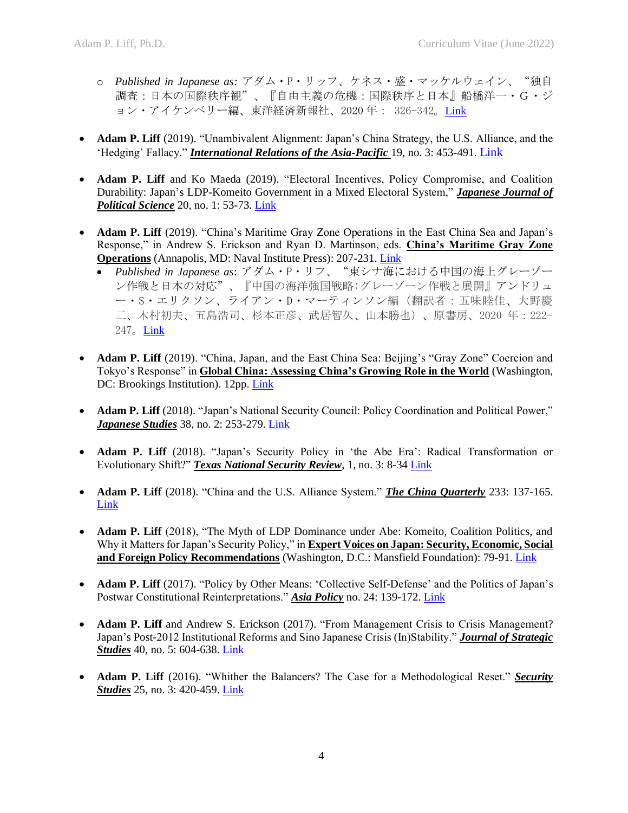- o *Published in Japanese as:* アダム・P・リッフ、ケネス・盛・マッケルウェイン、"独自 調査:日本の国際秩序観"、『自由主義の危機:国際秩序と日本』船橋洋一・G・ジ ョン・アイケンベリー編、東洋経済新報社、2020 年: 326-342。[Link](https://str.toyokeizai.net/books/9784492444580/)
- **Adam P. Liff** (2019). "Unambivalent Alignment: Japan's China Strategy, the U.S. Alliance, and the 'Hedging' Fallacy." *International Relations of the Asia-Pacific* 19, no. 3: 453-491. [Link](https://doi.org/10.1093/irap/lcz015)
- **Adam P. Liff** and Ko Maeda (2019). "Electoral Incentives, Policy Compromise, and Coalition Durability: Japan's LDP-Komeito Government in a Mixed Electoral System," *Japanese Journal of Political Science* 20, no. 1: 53-73. [Link](https://doi.org/10.1017/S1468109918000415)
- **Adam P. Liff** (2019). "China's Maritime Gray Zone Operations in the East China Sea and Japan's Response," in Andrew S. Erickson and Ryan D. Martinson, eds. **China's Maritime Gray Zone Operations** (Annapolis, MD: Naval Institute Press): 207-231. [Link](https://adampliff.files.wordpress.com/2020/04/liff2019_chinamaritimegrayzoneops_ecs-japan-response.pdf)
	- *Published in Japanese as*: アダム・P・リフ、"東シナ海における中国の海上グレーゾー ン作戦と日本の対応"、『中国の海洋強国戦略:グレーゾーン作戦と展開』アンドリュ ー・S・エリクソン、ライアン・D・マーティンソン編(翻訳者:五味睦佳、大野慶 二、木村初夫、五島浩司、杉本正彦、武居智久、山本勝也)、原書房、2020 年:222- 247。[Link](https://www.amazon.co.jp/中国の海洋強国戦略-グレーゾーン作戦と展開)
- **Adam P. Liff** (2019). "China, Japan, and the East China Sea: Beijing's "Gray Zone" Coercion and Tokyo's Response" in **Global China: Assessing China's Growing Role in the World** (Washington, DC: Brookings Institution). 12pp. [Link](https://www.brookings.edu/research/china-japan-and-the-east-china-sea-beijings-gray-zone-coercion-and-tokyos-response/)
- **Adam P. Liff** (2018). "Japan's National Security Council: Policy Coordination and Political Power," *Japanese Studies* 38, no. 2: 253-279[. Link](https://www.tandfonline.com/doi/full/10.1080/10371397.2018.1503926)
- **Adam P. Liff** (2018). "Japan's Security Policy in 'the Abe Era': Radical Transformation or Evolutionary Shift?" *Texas National Security Review*, 1, no. 3: 8-34 [Link](https://tnsr.org/wp-content/uploads/2018/05/TNSR-Vol-1-Iss-3_Liff.pdf)
- **Adam P. Liff** (2018). "China and the U.S. Alliance System." *The China Quarterly* 233: 137-165. [Link](http://dx.doi.org/10.1017/S0305741017000601)
- **Adam P. Liff** (2018), "The Myth of LDP Dominance under Abe: Komeito, Coalition Politics, and Why it Matters for Japan's Security Policy," in **Expert Voices on Japan: Security, Economic, Social and Foreign Policy Recommendations** (Washington, D.C.: Mansfield Foundation): 79-91. [Link](https://mansfieldfdn.org/wp-content/uploads/2018/06/Expert_Voices-FINAL.pdf)
- **Adam P. Liff** (2017). "Policy by Other Means: 'Collective Self-Defense' and the Politics of Japan's Postwar Constitutional Reinterpretations." **Asia Policy** no. 24: 139-172. [Link](http://doi.org/10.1353/asp.2017.0035)
- **Adam P. Liff** and Andrew S. Erickson (2017). "From Management Crisis to Crisis Management? Japan's Post-2012 Institutional Reforms and Sino Japanese Crisis (In)Stability." *Journal of Strategic Studies* 40, no. 5: 604-638[. Link](http://dx.doi.org/10.1080/01402390.2017.1293530)
- **Adam P. Liff** (2016). "Whither the Balancers? The Case for a Methodological Reset." *Security Studies* 25, no. 3: 420-459. [Link](http://dx.doi.org/10.1080/09636412.2016.1195624)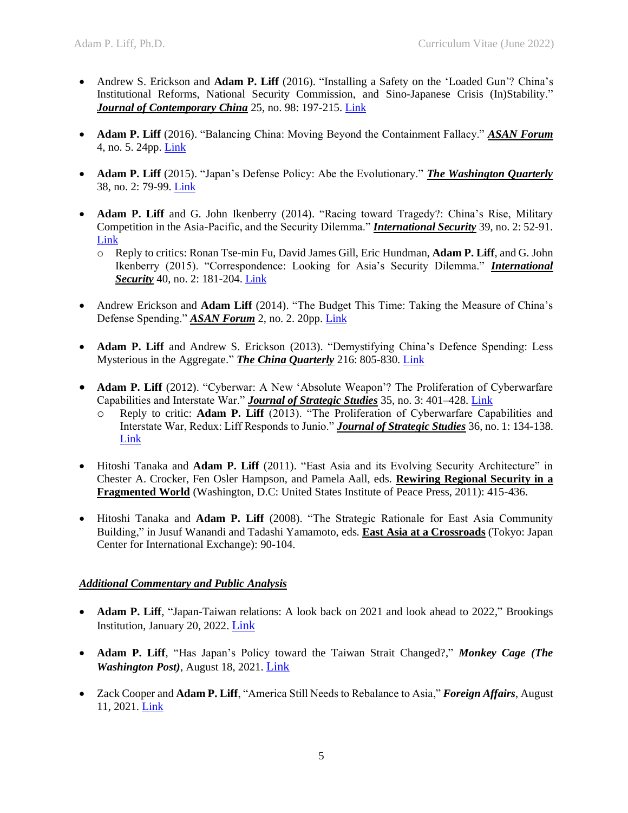- Andrew S. Erickson and **Adam P. Liff** (2016). "Installing a Safety on the 'Loaded Gun'? China's Institutional Reforms, National Security Commission, and Sino-Japanese Crisis (In)Stability." *Journal of Contemporary China* 25, no. 98: 197-215. [Link](http://www.tandfonline.com/doi/figure/10.1080/10670564.2015.1075713)
- **Adam P. Liff** (2016). "Balancing China: Moving Beyond the Containment Fallacy." *ASAN Forum* 4, no. 5. 24pp. [Link](http://www.theasanforum.org/balancing-china-moving-beyond-the-containment-fallacy/)
- **Adam P. Liff** (2015). "Japan's Defense Policy: Abe the Evolutionary." *The Washington Quarterly* 38, no. 2: 79-99. [Link](https://www.tandfonline.com/doi/abs/10.1080/0163660X.2015.1064711)
- **Adam P. Liff** and G. John Ikenberry (2014). "Racing toward Tragedy?: China's Rise, Military Competition in the Asia-Pacific, and the Security Dilemma." *International Security* 39, no. 2: 52-91. [Link](http://belfercenter.ksg.harvard.edu/files/isec_a_001762.pdf)
	- o Reply to critics: Ronan Tse-min Fu, David James Gill, Eric Hundman, **Adam P. Liff**, and G. John Ikenberry (2015). "Correspondence: Looking for Asia's Security Dilemma." *International Security* 40, no. 2: 181-204. [Link](http://dx.doi.org/10.1162/ISEC_c_00220)
- Andrew Erickson and **Adam Liff** (2014). "The Budget This Time: Taking the Measure of China's Defense Spending." *ASAN Forum* 2, no. 2. 20pp. [Link](http://www.theasanforum.org/the-budget-this-time-taking-the-measure-of-chinas-defense-spending/)
- **Adam P. Liff** and Andrew S. Erickson (2013). "Demystifying China's Defence Spending: Less Mysterious in the Aggregate." *The China Quarterly* 216: 805-830. [Link](https://www.cambridge.org/core/journals/china-quarterly/article/demystifying-chinas-defence-spending-less-mysterious-in-the-aggregate/61872EFDCB3CFE468E08F8472F2B7523)
- **Adam P. Liff** (2012). "Cyberwar: A New 'Absolute Weapon'? The Proliferation of Cyberwarfare Capabilities and Interstate War." *Journal of Strategic Studies* 35, no. 3: 401–428. [Link](http://www.tandfonline.com/doi/abs/10.1080/01402390.2012.663252)
	- o Reply to critic: **Adam P. Liff** (2013). "The Proliferation of Cyberwarfare Capabilities and Interstate War, Redux: Liff Responds to Junio." *Journal of Strategic Studies* 36, no. 1: 134-138. [Link](http://www.tandfonline.com/doi/abs/10.1080/01402390.2012.733312)
- Hitoshi Tanaka and **Adam P. Liff** (2011). "East Asia and its Evolving Security Architecture" in Chester A. Crocker, Fen Osler Hampson, and Pamela Aall, eds. **Rewiring Regional Security in a Fragmented World** (Washington, D.C: United States Institute of Peace Press, 2011): 415-436.
- Hitoshi Tanaka and **Adam P. Liff** (2008). "The Strategic Rationale for East Asia Community Building," in Jusuf Wanandi and Tadashi Yamamoto, eds. **East Asia at a Crossroads** (Tokyo: Japan Center for International Exchange): 90-104.

### *Additional Commentary and Public Analysis*

- **Adam P. Liff.** "Japan-Taiwan relations: A look back on 2021 and look ahead to 2022," Brookings Institution, January 20, 2022. [Link](https://www.brookings.edu/blog/order-from-chaos/2022/01/20/japan-taiwan-relations-a-look-back-on-2021-and-look-ahead-to-2022/)
- **Adam P. Liff**, "Has Japan's Policy toward the Taiwan Strait Changed?," *Monkey Cage (The Washington Post)*, August 18, 2021. [Link](https://www.brookings.edu/blog/order-from-chaos/2021/08/23/has-japans-policy-toward-the-taiwan-strait-changed/)
- Zack Cooper and **Adam P. Liff**, "America Still Needs to Rebalance to Asia," *Foreign Affairs*, August 11, 2021. [Link](https://www.foreignaffairs.com/articles/asia/2021-08-11/america-still-needs-rebalance-asia)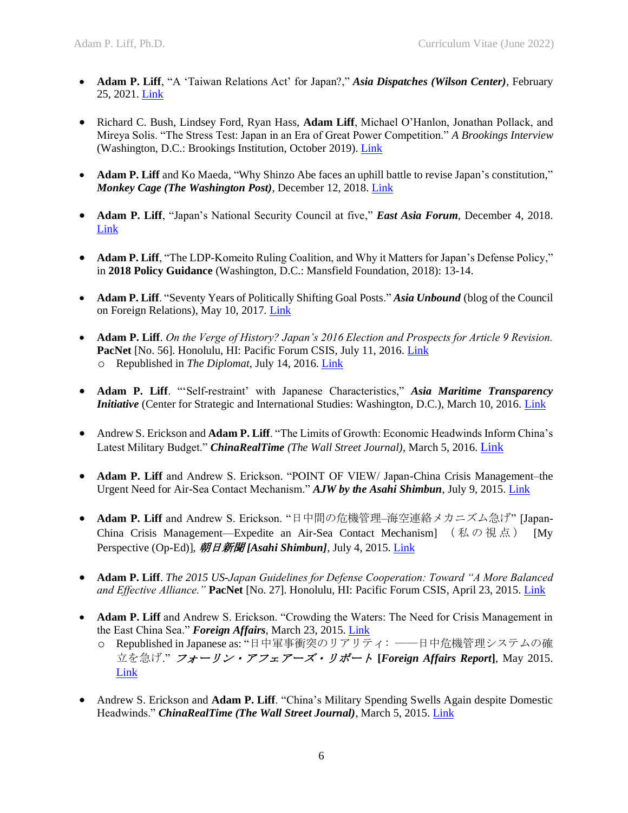- **Adam P. Liff**, "A 'Taiwan Relations Act' for Japan?," *Asia Dispatches (Wilson Center)*, February 25, 2021. [Link](https://www.wilsoncenter.org/blog-post/taiwan-relations-act-japan)
- Richard C. Bush, Lindsey Ford, Ryan Hass, **Adam Liff**, Michael O'Hanlon, Jonathan Pollack, and Mireya Solis. "The Stress Test: Japan in an Era of Great Power Competition." *A Brookings Interview*  (Washington, D.C.: Brookings Institution, October 2019). [Link](https://www.brookings.edu/research/the-stress-test-japan-in-an-era-of-great-power-competition/)
- **Adam P. Liff** and Ko Maeda, "Why Shinzo Abe faces an uphill battle to revise Japan's constitution," *Monkey Cage (The Washington Post)*, December 12, 2018. [Link](https://www.washingtonpost.com/news/monkey-cage/wp/2018/12/12/why-shinzo-abe-faces-an-uphill-battle-to-revise-japans-constitution/)
- **Adam P. Liff**, "Japan's National Security Council at five," *East Asia Forum*, December 4, 2018. [Link](http://www.eastasiaforum.org/2018/12/04/japans-national-security-council-at-five/)
- **Adam P. Liff**, "The LDP-Komeito Ruling Coalition, and Why it Matters for Japan's Defense Policy," in **2018 Policy Guidance** (Washington, D.C.: Mansfield Foundation, 2018): 13-14.
- **Adam P. Liff**. "Seventy Years of Politically Shifting Goal Posts." *Asia Unbound* (blog of the Council on Foreign Relations), May 10, 2017*.* [Link](https://www.cfr.org/blog-post/adam-liff-seventy-years-shifting-goal-posts)
- **Adam P. Liff**. *On the Verge of History? Japan's 2016 Election and Prospects for Article 9 Revision.* PacNet [No. 56]. Honolulu, HI: Pacific Forum CSIS, July 11, 2016. [Link](http://www.adamphailliff.com/documents/Liff2016_PacNet_UpperHouse&Article9Revision.pdf) o Republished in *The Diplomat*, July 14, 2016[. Link](http://thediplomat.com/2016/07/how-specifically-does-japans-ldp-want-to-revise-the-constitution/)
- **Adam P. Liff**. "'Self-restraint' with Japanese Characteristics," *Asia Maritime Transparency Initiative* (Center for Strategic and International Studies: Washington, D.C.), March 10, 2016. [Link](http://amti.csis.org/self-restraint-with-japanese-characteristics/)
- Andrew S. Erickson and **Adam P. Liff**. "The Limits of Growth: Economic Headwinds Inform China's Latest Military Budget." *ChinaRealTime (The Wall Street Journal)*, March 5, 2016. [Link](http://blogs.wsj.com/chinarealtime/2016/03/05/the-limits-of-growth-economic-headwinds-inform-chinas-latest-military-budget/)
- **Adam P. Liff** and Andrew S. Erickson. "POINT OF VIEW/ Japan-China Crisis Management–the Urgent Need for Air-Sea Contact Mechanism." *AJW by the Asahi Shimbun*, July 9, 2015. [Link](http://www.adamphailliff.com/documents/LiffErickson2015_AsahiJapanWatch_Japan-China%20Crisis%20Management.pdf)
- Adam P. Liff and Andrew S. Erickson. "日中間の危機管理–海空連絡メカニズム急げ" [Japan-China Crisis Management—Expedite an Air-Sea Contact Mechanism] (私の視点) [My Perspective (Op-Ed)], 朝日新聞 [Asahi Shimbun], July 4, 2015[. Link](http://www.adamphailliff.com/documents/LiffErickson_Asahi_2015_0704_Japan-China%20Crisis%20Management.PNG)
- **Adam P. Liff**. *The 2015 US-Japan Guidelines for Defense Cooperation: Toward "A More Balanced and Effective Alliance."* **PacNet** [No. 27]. Honolulu, HI: Pacific Forum CSIS, April 23, 2015. [Link](http://www.adamphailliff.com/documents/Liff2015_PacNet_US-J%20Guidelines.pdf)
- **Adam P. Liff** and Andrew S. Erickson. "Crowding the Waters: The Need for Crisis Management in the East China Sea." *Foreign Affairs*, March 23, 2015[. Link](http://www.foreignaffairs.com/articles/143285/adam-p-liff-and-andrew-s-erickson/crowding-the-waters)
	- o Republished in Japanese as: "日中軍事衝突のリアリティ: ――日中危機管理システムの確 立を急げ." フォーリン・アフェアーズ・リポート **[***Foreign Affairs Report***]**, May 2015. [Link](http://www.foreignaffairsj.co.jp/essay/201505/Liff_Erickson.htm)
- Andrew S. Erickson and **Adam P. Liff**. "China's Military Spending Swells Again despite Domestic Headwinds." *ChinaRealTime (The Wall Street Journal)*, March 5, 2015[. Link](http://blogs.wsj.com/chinarealtime/2015/03/05/chinas-military-spending-swells-again-despite-domestic-headwinds/)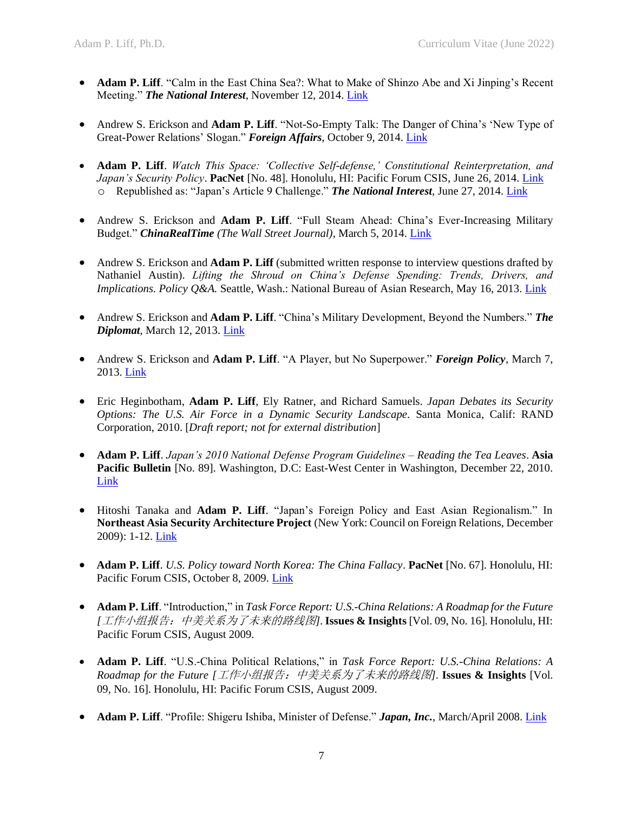- **Adam P. Liff**. "Calm in the East China Sea?: What to Make of Shinzo Abe and Xi Jinping's Recent Meeting." *The National Interest*, November 12, 2014. [Link](http://nationalinterest.org/blog/the-buzz/calm-the-east-china-sea-what-make-shinzo-abe-xi-jinpings-11656)
- Andrew S. Erickson and **Adam P. Liff**. "Not-So-Empty Talk: The Danger of China's 'New Type of Great-Power Relations' Slogan." *Foreign Affairs*, October 9, 2014[. Link](http://www.foreignaffairs.com/articles/142178/andrew-s-erickson-and-adam-p-liff/not-so-empty-talk)
- **Adam P. Liff**. *Watch This Space: 'Collective Self-defense,' Constitutional Reinterpretation, and Japan's Security Policy*. **PacNet** [No. 48]. Honolulu, HI: Pacific Forum CSIS, June 26, 2014. [Link](http://www.adamphailliff.com/documents/Liff2014_PacNet_CSD%20Cabinet%20Res.pdf) o Republished as: "Japan's Article 9 Challenge." *The National Interest*, June 27, 2014[. Link](http://nationalinterest.org/blog/the-buzz/japans-article-9-challenge-10766?page=show)
- Andrew S. Erickson and **Adam P. Liff**. "Full Steam Ahead: China's Ever-Increasing Military Budget." *ChinaRealTime (The Wall Street Journal)*, March 5, 2014[. Link](http://blogs.wsj.com/chinarealtime/2014/03/05/full-steam-ahead-chinas-ever-increasing-military-budget/tab/print/)
- Andrew S. Erickson and **Adam P. Liff** (submitted written response to interview questions drafted by Nathaniel Austin). *Lifting the Shroud on China's Defense Spending: Trends, Drivers, and Implications. Policy Q&A. Seattle, Wash.: National Bureau of Asian Research, May 16, 2013. [Link](http://www.nbr.org/downloads/pdfs/PSA/Erickson-Liff_interview_05162013.pdf)*
- Andrew S. Erickson and **Adam P. Liff**. "China's Military Development, Beyond the Numbers." *The Diplomat*, March 12, 2013[. Link](http://thediplomat.com/2013/03/12/chinas-military-development-beyond-the-numbers/?all=true)
- Andrew S. Erickson and **Adam P. Liff**. "A Player, but No Superpower." *Foreign Policy*, March 7, 2013. [Link](http://foreignpolicy.com/2013/03/07/a-player-but-no-superpower/)
- Eric Heginbotham, **Adam P. Liff**, Ely Ratner, and Richard Samuels. *Japan Debates its Security Options: The U.S. Air Force in a Dynamic Security Landscape.* Santa Monica, Calif: RAND Corporation, 2010. [*Draft report; not for external distribution*]
- **Adam P. Liff**. *Japan's 2010 National Defense Program Guidelines – Reading the Tea Leaves*. **Asia Pacific Bulletin** [No. 89]. Washington, D.C: East-West Center in Washington, December 22, 2010. [Link](http://www.eastwestcenter.org/publications/japan%E2%80%99s-2010-national-defense-program-guidelines-reading-tea-leaves)
- Hitoshi Tanaka and **Adam P. Liff**. "Japan's Foreign Policy and East Asian Regionalism." In **Northeast Asia Security Architecture Project** (New York: Council on Foreign Relations, December 2009): 1-12. [Link](https://www.cfr.org/news-releases/us-and-regional-experts-outline-ways-build-security-cooperation-northeast-asia)
- **Adam P. Liff**. *U.S. Policy toward North Korea: The China Fallacy*. **PacNet** [No. 67]. Honolulu, HI: Pacific Forum CSIS, October 8, 2009. [Link](http://www.adamphailliff.com/documents/Liff2009_PacNet_US&DPRK_The%20China%20Fallacy.pdf)
- **Adam P. Liff**. "Introduction," in *Task Force Report: U.S.-China Relations: A Roadmap for the Future [*工作小组报告:中美关系为了未来的路线图*]*. **Issues & Insights** [Vol. 09, No. 16]. Honolulu, HI: Pacific Forum CSIS, August 2009.
- **Adam P. Liff**. "U.S.-China Political Relations," in *Task Force Report: U.S.-China Relations: A Roadmap for the Future [*工作小组报告:中美关系为了未来的路线图*]*. **Issues & Insights** [Vol. 09, No. 16]. Honolulu, HI: Pacific Forum CSIS, August 2009.
- **Adam P. Liff**. "Profile: Shigeru Ishiba, Minister of Defense." *Japan, Inc.*, March/April 2008. [Link](http://www.japaninc.com/mgz_mar-apr_2008_shigeru-ishiba)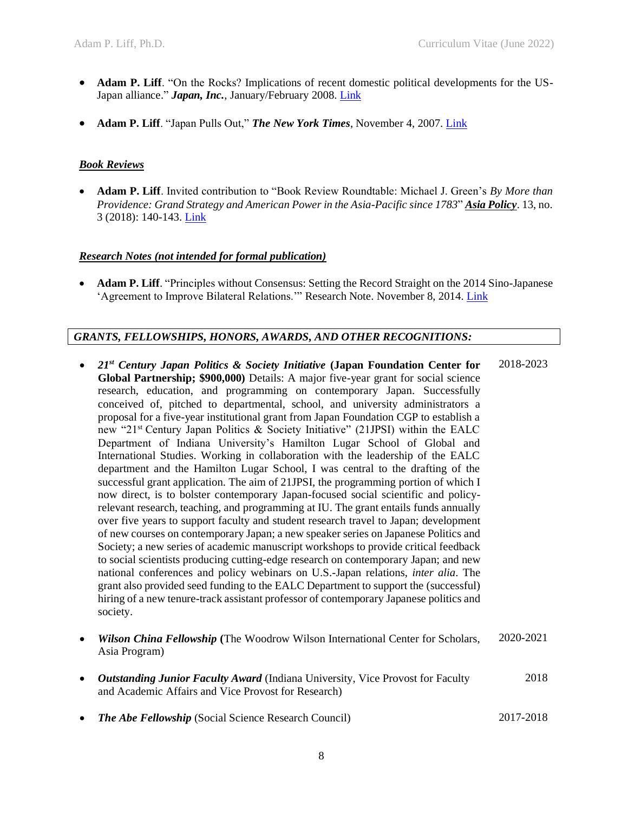- **Adam P. Liff**. "On the Rocks? Implications of recent domestic political developments for the US-Japan alliance." *Japan, Inc.*, January/February 2008. [Link](http://www.japaninc.com/mgz_jan-feb_2008_on-the-rocks)
- **Adam P. Liff**. "Japan Pulls Out," *The New York Times*, November 4, 2007. [Link](http://www.nytimes.com/2007/11/04/opinion/04iht-edletmon.2.8177625.html)

#### *Book Reviews*

• **Adam P. Liff**. Invited contribution to "Book Review Roundtable: Michael J. Green's *By More than Providence: Grand Strategy and American Power in the Asia-Pacific since 1783*" *Asia Policy*. 13, no. 3 (2018): 140-143. [Link](http://www.nbr.org/publications/asia_policy/free/AsiaPolicy13-3_ByMoreThanProvidence_BRRT.pdf)

### *Research Notes (not intended for formal publication)*

• **Adam P. Liff**. "Principles without Consensus: Setting the Record Straight on the 2014 Sino-Japanese 'Agreement to Improve Bilateral Relations.'" Research Note. November 8, 2014. [Link](http://www.adamphailliff.com/documents/Liff2014_PrinciplesWithoutConsensus.pdf)

## *GRANTS, FELLOWSHIPS, HONORS, AWARDS, AND OTHER RECOGNITIONS:*

- *21st Century Japan Politics & Society Initiative* **(Japan Foundation Center for Global Partnership; \$900,000)** Details: A major five-year grant for social science research, education, and programming on contemporary Japan. Successfully conceived of, pitched to departmental, school, and university administrators a proposal for a five-year institutional grant from Japan Foundation CGP to establish a new "21st Century Japan Politics & Society Initiative" (21JPSI) within the EALC Department of Indiana University's Hamilton Lugar School of Global and International Studies. Working in collaboration with the leadership of the EALC department and the Hamilton Lugar School, I was central to the drafting of the successful grant application. The aim of 21JPSI, the programming portion of which I now direct, is to bolster contemporary Japan-focused social scientific and policyrelevant research, teaching, and programming at IU. The grant entails funds annually over five years to support faculty and student research travel to Japan; development of new courses on contemporary Japan; a new speaker series on Japanese Politics and Society; a new series of academic manuscript workshops to provide critical feedback to social scientists producing cutting-edge research on contemporary Japan; and new national conferences and policy webinars on U.S.-Japan relations, *inter alia*. The grant also provided seed funding to the EALC Department to support the (successful) hiring of a new tenure-track assistant professor of contemporary Japanese politics and society. 2018-2023
- *Wilson China Fellowship* **(**The Woodrow Wilson International Center for Scholars, Asia Program) 2020-2021
- *Outstanding Junior Faculty Award* (Indiana University, Vice Provost for Faculty and Academic Affairs and Vice Provost for Research) 2018
- *The Abe Fellowship* (Social Science Research Council) 2017-2018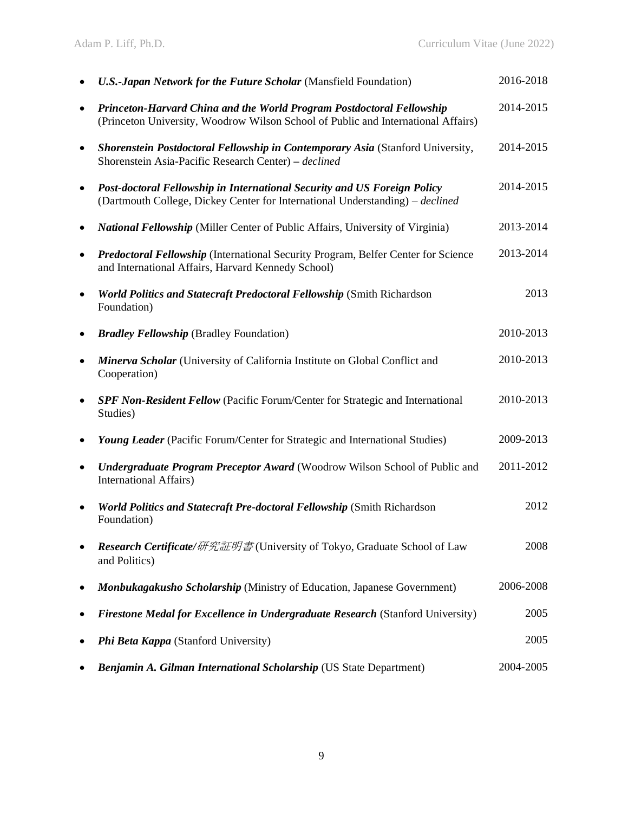|           | <b>U.S.-Japan Network for the Future Scholar (Mansfield Foundation)</b>                                                                                    | 2016-2018 |
|-----------|------------------------------------------------------------------------------------------------------------------------------------------------------------|-----------|
| $\bullet$ | Princeton-Harvard China and the World Program Postdoctoral Fellowship<br>(Princeton University, Woodrow Wilson School of Public and International Affairs) | 2014-2015 |
| $\bullet$ | Shorenstein Postdoctoral Fellowship in Contemporary Asia (Stanford University,<br>Shorenstein Asia-Pacific Research Center) - declined                     | 2014-2015 |
| $\bullet$ | Post-doctoral Fellowship in International Security and US Foreign Policy<br>(Dartmouth College, Dickey Center for International Understanding) – declined  | 2014-2015 |
| ٠         | <b>National Fellowship</b> (Miller Center of Public Affairs, University of Virginia)                                                                       | 2013-2014 |
| $\bullet$ | <b>Predoctoral Fellowship (International Security Program, Belfer Center for Science</b><br>and International Affairs, Harvard Kennedy School)             | 2013-2014 |
| $\bullet$ | <b>World Politics and Statecraft Predoctoral Fellowship (Smith Richardson</b><br>Foundation)                                                               | 2013      |
|           | <b>Bradley Fellowship</b> (Bradley Foundation)                                                                                                             | 2010-2013 |
| $\bullet$ | Minerva Scholar (University of California Institute on Global Conflict and<br>Cooperation)                                                                 | 2010-2013 |
| $\bullet$ | <b>SPF Non-Resident Fellow</b> (Pacific Forum/Center for Strategic and International<br>Studies)                                                           | 2010-2013 |
| $\bullet$ | Young Leader (Pacific Forum/Center for Strategic and International Studies)                                                                                | 2009-2013 |
|           | <b>Undergraduate Program Preceptor Award (Woodrow Wilson School of Public and</b><br><b>International Affairs</b> )                                        | 2011-2012 |
| ٠         | <b>World Politics and Statecraft Pre-doctoral Fellowship (Smith Richardson</b><br>Foundation)                                                              | 2012      |
|           | Research Certificate/研究証明書(University of Tokyo, Graduate School of Law<br>and Politics)                                                                    | 2008      |
|           | Monbukagakusho Scholarship (Ministry of Education, Japanese Government)                                                                                    | 2006-2008 |
|           | Firestone Medal for Excellence in Undergraduate Research (Stanford University)                                                                             | 2005      |
|           | Phi Beta Kappa (Stanford University)                                                                                                                       | 2005      |
|           | Benjamin A. Gilman International Scholarship (US State Department)                                                                                         | 2004-2005 |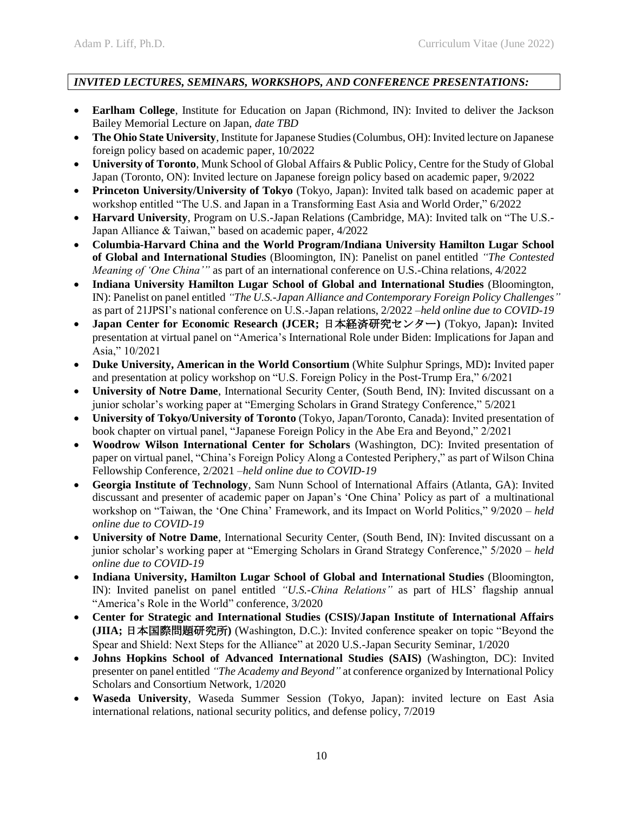# *INVITED LECTURES, SEMINARS, WORKSHOPS, AND CONFERENCE PRESENTATIONS:*

- **Earlham College**, Institute for Education on Japan (Richmond, IN): Invited to deliver the Jackson Bailey Memorial Lecture on Japan, *date TBD*
- **The Ohio State University**, Institute for Japanese Studies (Columbus, OH): Invited lecture on Japanese foreign policy based on academic paper, 10/2022
- **University of Toronto**, Munk School of Global Affairs & Public Policy, Centre for the Study of Global Japan (Toronto, ON): Invited lecture on Japanese foreign policy based on academic paper, 9/2022
- **Princeton University/University of Tokyo** (Tokyo, Japan): Invited talk based on academic paper at workshop entitled "The U.S. and Japan in a Transforming East Asia and World Order," 6/2022
- **Harvard University**, Program on U.S.-Japan Relations (Cambridge, MA): Invited talk on "The U.S.- Japan Alliance & Taiwan," based on academic paper, 4/2022
- **Columbia-Harvard China and the World Program/Indiana University Hamilton Lugar School of Global and International Studies** (Bloomington, IN): Panelist on panel entitled *"The Contested Meaning of 'One China'"* as part of an international conference on U.S.-China relations, 4/2022
- **Indiana University Hamilton Lugar School of Global and International Studies** (Bloomington, IN): Panelist on panel entitled *"The U.S.-Japan Alliance and Contemporary Foreign Policy Challenges"* as part of 21JPSI's national conference on U.S.-Japan relations, 2/2022 –*held online due to COVID-19*
- **Japan Center for Economic Research (JCER;** 日本経済研究センター**)** (Tokyo, Japan)**:** Invited presentation at virtual panel on "America's International Role under Biden: Implications for Japan and Asia," 10/2021
- **Duke University, American in the World Consortium** (White Sulphur Springs, MD)**:** Invited paper and presentation at policy workshop on "U.S. Foreign Policy in the Post-Trump Era," 6/2021
- **University of Notre Dame**, International Security Center, (South Bend, IN): Invited discussant on a junior scholar's working paper at "Emerging Scholars in Grand Strategy Conference," 5/2021
- **University of Tokyo/University of Toronto** (Tokyo, Japan/Toronto, Canada): Invited presentation of book chapter on virtual panel, "Japanese Foreign Policy in the Abe Era and Beyond," 2/2021
- **Woodrow Wilson International Center for Scholars** (Washington, DC): Invited presentation of paper on virtual panel, "China's Foreign Policy Along a Contested Periphery," as part of Wilson China Fellowship Conference, 2/2021 –*held online due to COVID-19*
- **Georgia Institute of Technology**, Sam Nunn School of International Affairs (Atlanta, GA): Invited discussant and presenter of academic paper on Japan's 'One China' Policy as part of a multinational workshop on "Taiwan, the 'One China' Framework, and its Impact on World Politics," 9/2020 – *held online due to COVID-19*
- **University of Notre Dame**, International Security Center, (South Bend, IN): Invited discussant on a junior scholar's working paper at "Emerging Scholars in Grand Strategy Conference," 5/2020 – *held online due to COVID-19*
- **Indiana University, Hamilton Lugar School of Global and International Studies** (Bloomington, IN): Invited panelist on panel entitled *"U.S.-China Relations"* as part of HLS' flagship annual "America's Role in the World" conference, 3/2020
- **Center for Strategic and International Studies (CSIS)/Japan Institute of International Affairs (JIIA;** 日本国際問題研究所**)** (Washington, D.C.): Invited conference speaker on topic "Beyond the Spear and Shield: Next Steps for the Alliance" at 2020 U.S.-Japan Security Seminar, 1/2020
- **Johns Hopkins School of Advanced International Studies (SAIS)** (Washington, DC): Invited presenter on panel entitled *"The Academy and Beyond"* at conference organized by International Policy Scholars and Consortium Network, 1/2020
- **Waseda University**, Waseda Summer Session (Tokyo, Japan): invited lecture on East Asia international relations, national security politics, and defense policy, 7/2019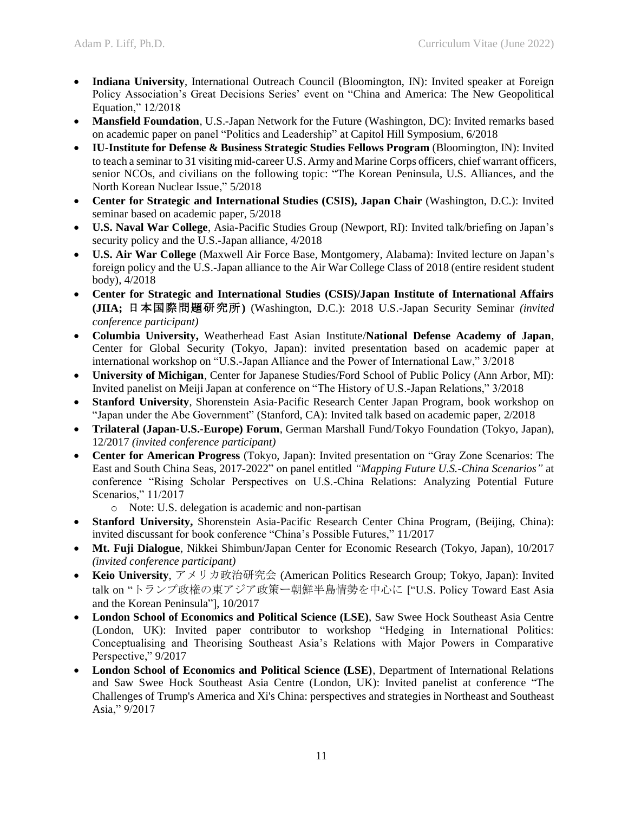- **Indiana University**, International Outreach Council (Bloomington, IN): Invited speaker at Foreign Policy Association's Great Decisions Series' event on "China and America: The New Geopolitical Equation," 12/2018
- Mansfield Foundation, U.S.-Japan Network for the Future (Washington, DC): Invited remarks based on academic paper on panel "Politics and Leadership" at Capitol Hill Symposium, 6/2018
- **IU-Institute for Defense & Business Strategic Studies Fellows Program** (Bloomington, IN): Invited to teach a seminar to 31 visiting mid-career U.S. Army and Marine Corps officers, chief warrant officers, senior NCOs, and civilians on the following topic: "The Korean Peninsula, U.S. Alliances, and the North Korean Nuclear Issue," 5/2018
- **Center for Strategic and International Studies (CSIS), Japan Chair** (Washington, D.C.): Invited seminar based on academic paper, 5/2018
- **U.S. Naval War College**, Asia-Pacific Studies Group (Newport, RI): Invited talk/briefing on Japan's security policy and the U.S.-Japan alliance, 4/2018
- **U.S. Air War College** (Maxwell Air Force Base, Montgomery, Alabama): Invited lecture on Japan's foreign policy and the U.S.-Japan alliance to the Air War College Class of 2018 (entire resident student body), 4/2018
- **Center for Strategic and International Studies (CSIS)/Japan Institute of International Affairs (JIIA;** 日本国際問題研究所**)** (Washington, D.C.): 2018 U.S.-Japan Security Seminar *(invited conference participant)*
- **Columbia University,** Weatherhead East Asian Institute/**National Defense Academy of Japan**, Center for Global Security (Tokyo, Japan): invited presentation based on academic paper at international workshop on "U.S.-Japan Alliance and the Power of International Law," 3/2018
- **University of Michigan**, Center for Japanese Studies/Ford School of Public Policy (Ann Arbor, MI): Invited panelist on Meiji Japan at conference on "The History of U.S.-Japan Relations," 3/2018
- **Stanford University**, Shorenstein Asia-Pacific Research Center Japan Program, book workshop on "Japan under the Abe Government" (Stanford, CA): Invited talk based on academic paper, 2/2018
- **Trilateral (Japan-U.S.-Europe) Forum**, German Marshall Fund/Tokyo Foundation (Tokyo, Japan), 12/2017 *(invited conference participant)*
- **Center for American Progress** (Tokyo, Japan): Invited presentation on "Gray Zone Scenarios: The East and South China Seas, 2017-2022" on panel entitled *"Mapping Future U.S.-China Scenarios"* at conference "Rising Scholar Perspectives on U.S.-China Relations: Analyzing Potential Future Scenarios," 11/2017
	- o Note: U.S. delegation is academic and non-partisan
- **Stanford University,** Shorenstein Asia-Pacific Research Center China Program, (Beijing, China): invited discussant for book conference "China's Possible Futures," 11/2017
- **Mt. Fuji Dialogue**, Nikkei Shimbun/Japan Center for Economic Research (Tokyo, Japan), 10/2017 *(invited conference participant)*
- **Keio University**, アメリカ政治研究会 (American Politics Research Group; Tokyo, Japan): Invited talk on "トランプ政権の東アジア政策ー朝鮮半島情勢を中心に ["U.S. Policy Toward East Asia and the Korean Peninsula"], 10/2017
- **London School of Economics and Political Science (LSE)**, Saw Swee Hock Southeast Asia Centre (London, UK): Invited paper contributor to workshop "Hedging in International Politics: Conceptualising and Theorising Southeast Asia's Relations with Major Powers in Comparative Perspective," 9/2017
- **London School of Economics and Political Science (LSE)**, Department of International Relations and Saw Swee Hock Southeast Asia Centre (London, UK): Invited panelist at conference "The Challenges of Trump's America and Xi's China: perspectives and strategies in Northeast and Southeast Asia," 9/2017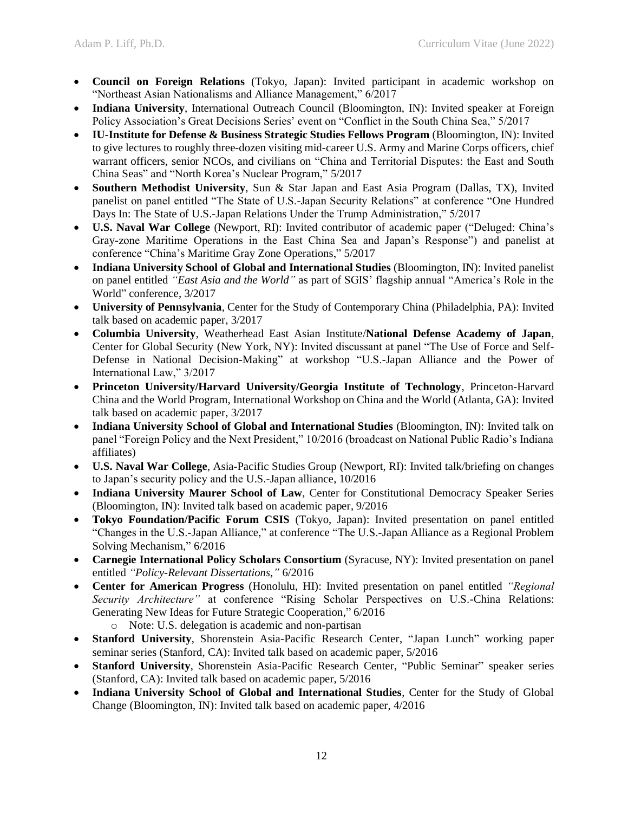- **Council on Foreign Relations** (Tokyo, Japan): Invited participant in academic workshop on "Northeast Asian Nationalisms and Alliance Management," 6/2017
- **Indiana University**, International Outreach Council (Bloomington, IN): Invited speaker at Foreign Policy Association's Great Decisions Series' event on "Conflict in the South China Sea," 5/2017
- **IU-Institute for Defense & Business Strategic Studies Fellows Program** (Bloomington, IN): Invited to give lectures to roughly three-dozen visiting mid-career U.S. Army and Marine Corps officers, chief warrant officers, senior NCOs, and civilians on "China and Territorial Disputes: the East and South China Seas" and "North Korea's Nuclear Program," 5/2017
- **Southern Methodist University**, Sun & Star Japan and East Asia Program (Dallas, TX), Invited panelist on panel entitled "The State of U.S.-Japan Security Relations" at conference "One Hundred Days In: The State of U.S.-Japan Relations Under the Trump Administration," 5/2017
- **U.S. Naval War College** (Newport, RI): Invited contributor of academic paper ("Deluged: China's Gray-zone Maritime Operations in the East China Sea and Japan's Response") and panelist at conference "China's Maritime Gray Zone Operations," 5/2017
- **Indiana University School of Global and International Studies** (Bloomington, IN): Invited panelist on panel entitled *"East Asia and the World"* as part of SGIS' flagship annual "America's Role in the World" conference, 3/2017
- **University of Pennsylvania**, Center for the Study of Contemporary China (Philadelphia, PA): Invited talk based on academic paper, 3/2017
- **Columbia University**, Weatherhead East Asian Institute/**National Defense Academy of Japan**, Center for Global Security (New York, NY): Invited discussant at panel "The Use of Force and Self-Defense in National Decision-Making" at workshop "U.S.-Japan Alliance and the Power of International Law," 3/2017
- **Princeton University/Harvard University/Georgia Institute of Technology**, Princeton-Harvard China and the World Program, International Workshop on China and the World (Atlanta, GA): Invited talk based on academic paper, 3/2017
- **Indiana University School of Global and International Studies** (Bloomington, IN): Invited talk on panel "Foreign Policy and the Next President," 10/2016 (broadcast on National Public Radio's Indiana affiliates)
- **U.S. Naval War College**, Asia-Pacific Studies Group (Newport, RI): Invited talk/briefing on changes to Japan's security policy and the U.S.-Japan alliance, 10/2016
- **Indiana University Maurer School of Law**, Center for Constitutional Democracy Speaker Series (Bloomington, IN): Invited talk based on academic paper, 9/2016
- **Tokyo Foundation/Pacific Forum CSIS** (Tokyo, Japan): Invited presentation on panel entitled "Changes in the U.S.-Japan Alliance," at conference "The U.S.-Japan Alliance as a Regional Problem Solving Mechanism," 6/2016
- **Carnegie International Policy Scholars Consortium** (Syracuse, NY): Invited presentation on panel entitled *"Policy-Relevant Dissertations*,*"* 6/2016
- **Center for American Progress** (Honolulu, HI): Invited presentation on panel entitled *"Regional Security Architecture"* at conference "Rising Scholar Perspectives on U.S.-China Relations: Generating New Ideas for Future Strategic Cooperation," 6/2016
	- o Note: U.S. delegation is academic and non-partisan
- **Stanford University**, Shorenstein Asia-Pacific Research Center, "Japan Lunch" working paper seminar series (Stanford, CA): Invited talk based on academic paper, 5/2016
- **Stanford University**, Shorenstein Asia-Pacific Research Center, "Public Seminar" speaker series (Stanford, CA): Invited talk based on academic paper, 5/2016
- **Indiana University School of Global and International Studies**, Center for the Study of Global Change (Bloomington, IN): Invited talk based on academic paper, 4/2016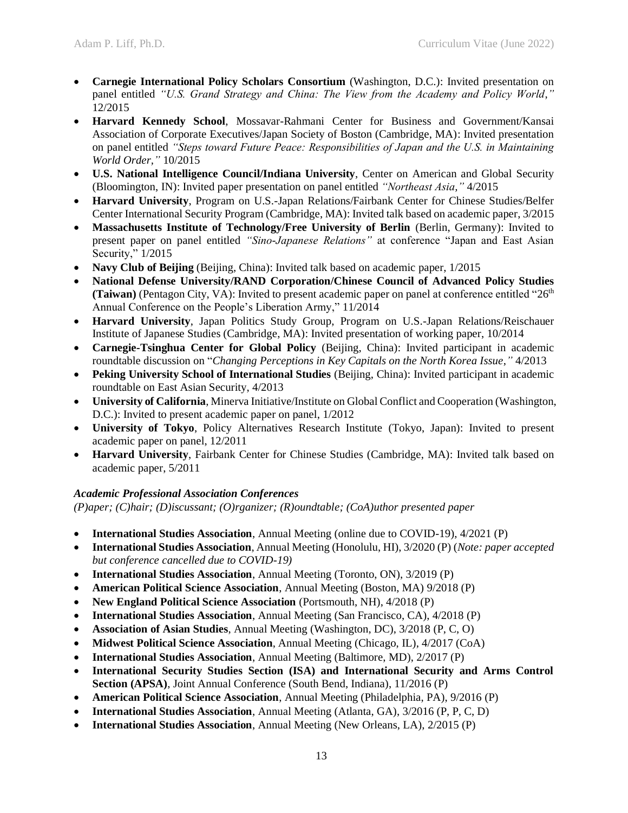- **Carnegie International Policy Scholars Consortium** (Washington, D.C.): Invited presentation on panel entitled *"U.S. Grand Strategy and China: The View from the Academy and Policy World*,*"* 12/2015
- **Harvard Kennedy School**, Mossavar-Rahmani Center for Business and Government/Kansai Association of Corporate Executives/Japan Society of Boston (Cambridge, MA): Invited presentation on panel entitled *"Steps toward Future Peace: Responsibilities of Japan and the U.S. in Maintaining World Order,"* 10/2015
- **U.S. National Intelligence Council/Indiana University**, Center on American and Global Security (Bloomington, IN): Invited paper presentation on panel entitled *"Northeast Asia,"* 4/2015
- **Harvard University**, Program on U.S.-Japan Relations/Fairbank Center for Chinese Studies/Belfer Center International Security Program (Cambridge, MA): Invited talk based on academic paper, 3/2015
- **Massachusetts Institute of Technology/Free University of Berlin** (Berlin, Germany): Invited to present paper on panel entitled *"Sino-Japanese Relations"* at conference "Japan and East Asian Security," 1/2015
- **Navy Club of Beijing** (Beijing, China): Invited talk based on academic paper,  $1/2015$
- **National Defense University/RAND Corporation/Chinese Council of Advanced Policy Studies (Taiwan)** (Pentagon City, VA): Invited to present academic paper on panel at conference entitled " $26<sup>th</sup>$ Annual Conference on the People's Liberation Army," 11/2014
- **Harvard University**, Japan Politics Study Group, Program on U.S.-Japan Relations/Reischauer Institute of Japanese Studies (Cambridge, MA): Invited presentation of working paper, 10/2014
- **Carnegie-Tsinghua Center for Global Policy** (Beijing, China): Invited participant in academic roundtable discussion on "*Changing Perceptions in Key Capitals on the North Korea Issue*,*"* 4/2013
- **Peking University School of International Studies** (Beijing, China): Invited participant in academic roundtable on East Asian Security, 4/2013
- **University of California**, Minerva Initiative/Institute on Global Conflict and Cooperation (Washington, D.C.): Invited to present academic paper on panel, 1/2012
- **University of Tokyo**, Policy Alternatives Research Institute (Tokyo, Japan): Invited to present academic paper on panel, 12/2011
- **Harvard University**, Fairbank Center for Chinese Studies (Cambridge, MA): Invited talk based on academic paper, 5/2011

# *Academic Professional Association Conferences*

*(P)aper; (C)hair; (D)iscussant; (O)rganizer; (R)oundtable; (CoA)uthor presented paper*

- **International Studies Association**, Annual Meeting (online due to COVID-19), 4/2021 (P)
- **International Studies Association**, Annual Meeting (Honolulu, HI), 3/2020 (P) (*Note: paper accepted but conference cancelled due to COVID-19)*
- **International Studies Association**, Annual Meeting (Toronto, ON), 3/2019 (P)
- **American Political Science Association**, Annual Meeting (Boston, MA) 9/2018 (P)
- **New England Political Science Association** (Portsmouth, NH), 4/2018 (P)
- **International Studies Association**, Annual Meeting (San Francisco, CA), 4/2018 (P)
- **Association of Asian Studies**, Annual Meeting (Washington, DC), 3/2018 (P, C, O)
- **Midwest Political Science Association**, Annual Meeting (Chicago, IL), 4/2017 (CoA)
- **International Studies Association**, Annual Meeting (Baltimore, MD), 2/2017 (P)
- **International Security Studies Section (ISA) and International Security and Arms Control Section (APSA)**, Joint Annual Conference (South Bend, Indiana), 11/2016 (P)
- **American Political Science Association**, Annual Meeting (Philadelphia, PA), 9/2016 (P)
- **International Studies Association**, Annual Meeting (Atlanta, GA), 3/2016 (P, P, C, D)
- **International Studies Association**, Annual Meeting (New Orleans, LA), 2/2015 (P)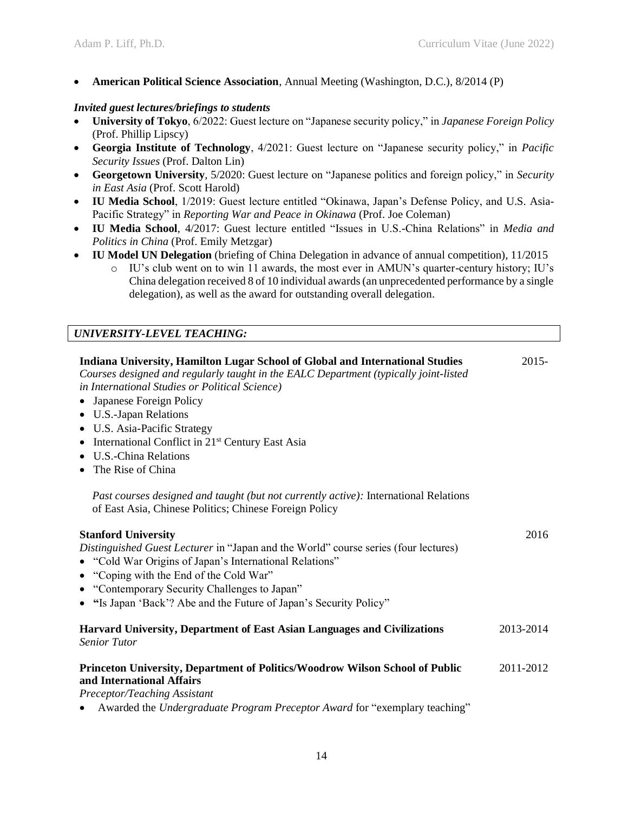• **American Political Science Association**, Annual Meeting (Washington, D.C.), 8/2014 (P)

## *Invited guest lectures/briefings to students*

- **University of Tokyo**, 6/2022: Guest lecture on "Japanese security policy," in *Japanese Foreign Policy* (Prof. Phillip Lipscy)
- **Georgia Institute of Technology**, 4/2021: Guest lecture on "Japanese security policy," in *Pacific Security Issues* (Prof. Dalton Lin)
- **Georgetown University**, 5/2020: Guest lecture on "Japanese politics and foreign policy," in *Security in East Asia* (Prof. Scott Harold)
- **IU Media School**, 1/2019: Guest lecture entitled "Okinawa, Japan's Defense Policy, and U.S. Asia-Pacific Strategy" in *Reporting War and Peace in Okinawa* (Prof. Joe Coleman)
- **IU Media School**, 4/2017: Guest lecture entitled "Issues in U.S.-China Relations" in *Media and Politics in China* (Prof. Emily Metzgar)
- **IU Model UN Delegation** (briefing of China Delegation in advance of annual competition), 11/2015
	- o IU's club went on to win 11 awards, the most ever in AMUN's quarter-century history; IU's China delegation received 8 of 10 individual awards (an unprecedented performance by a single delegation), as well as the award for outstanding overall delegation.

# *UNIVERSITY-LEVEL TEACHING:*

| Indiana University, Hamilton Lugar School of Global and International Studies<br>Courses designed and regularly taught in the EALC Department (typically joint-listed<br>in International Studies or Political Science)<br>Japanese Foreign Policy<br>$\bullet$<br>• U.S.-Japan Relations<br>• U.S. Asia-Pacific Strategy<br>• International Conflict in 21 <sup>st</sup> Century East Asia<br>• U.S.-China Relations<br>• The Rise of China | $2015 -$  |
|----------------------------------------------------------------------------------------------------------------------------------------------------------------------------------------------------------------------------------------------------------------------------------------------------------------------------------------------------------------------------------------------------------------------------------------------|-----------|
| Past courses designed and taught (but not currently active): International Relations<br>of East Asia, Chinese Politics; Chinese Foreign Policy                                                                                                                                                                                                                                                                                               |           |
| <b>Stanford University</b><br>Distinguished Guest Lecturer in "Japan and the World" course series (four lectures)<br>• "Cold War Origins of Japan's International Relations"<br>• "Coping with the End of the Cold War"<br>• "Contemporary Security Challenges to Japan"<br>• "Is Japan 'Back'? Abe and the Future of Japan's Security Policy"                                                                                               | 2016      |
| <b>Harvard University, Department of East Asian Languages and Civilizations</b><br><b>Senior Tutor</b>                                                                                                                                                                                                                                                                                                                                       | 2013-2014 |
| Princeton University, Department of Politics/Woodrow Wilson School of Public<br>and International Affairs<br>Preceptor/Teaching Assistant<br>Awarded the Undergraduate Program Preceptor Award for "exemplary teaching"                                                                                                                                                                                                                      | 2011-2012 |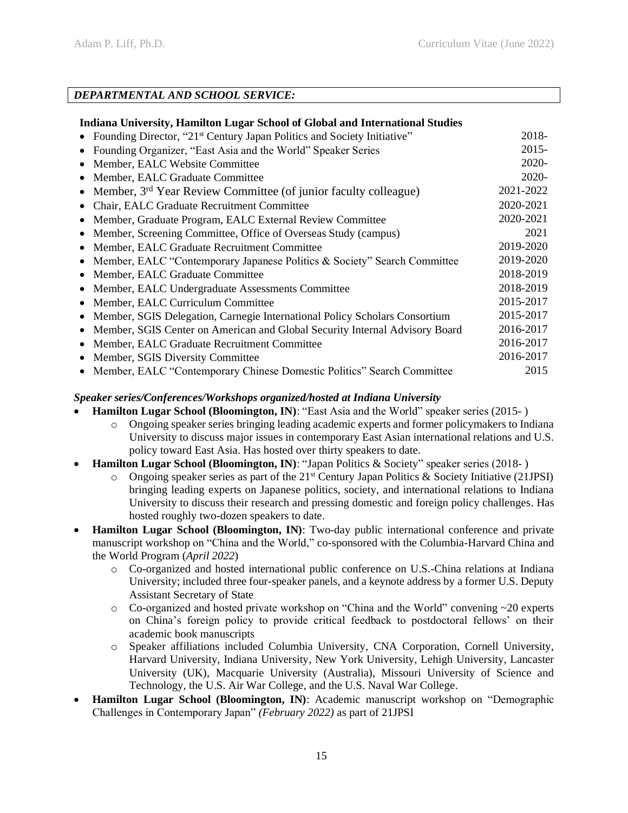# *DEPARTMENTAL AND SCHOOL SERVICE:*

## **Indiana University, Hamilton Lugar School of Global and International Studies**

| • Founding Director, "21 <sup>st</sup> Century Japan Politics and Society Initiative"    | 2018-     |
|------------------------------------------------------------------------------------------|-----------|
| Founding Organizer, "East Asia and the World" Speaker Series                             | $2015 -$  |
| Member, EALC Website Committee                                                           | 2020-     |
| Member, EALC Graduate Committee                                                          | 2020-     |
| Member, 3 <sup>rd</sup> Year Review Committee (of junior faculty colleague)<br>$\bullet$ | 2021-2022 |
| Chair, EALC Graduate Recruitment Committee<br>$\bullet$                                  | 2020-2021 |
| Member, Graduate Program, EALC External Review Committee                                 | 2020-2021 |
| Member, Screening Committee, Office of Overseas Study (campus)<br>$\bullet$              | 2021      |
| Member, EALC Graduate Recruitment Committee                                              | 2019-2020 |
| • Member, EALC "Contemporary Japanese Politics & Society" Search Committee               | 2019-2020 |
| • Member, EALC Graduate Committee                                                        | 2018-2019 |
| Member, EALC Undergraduate Assessments Committee<br>$\bullet$                            | 2018-2019 |
| Member, EALC Curriculum Committee<br>$\bullet$                                           | 2015-2017 |
| Member, SGIS Delegation, Carnegie International Policy Scholars Consortium               | 2015-2017 |
| Member, SGIS Center on American and Global Security Internal Advisory Board<br>$\bullet$ | 2016-2017 |
| Member, EALC Graduate Recruitment Committee<br>$\bullet$                                 | 2016-2017 |
| Member, SGIS Diversity Committee<br>$\bullet$                                            | 2016-2017 |
| • Member, EALC "Contemporary Chinese Domestic Politics" Search Committee                 | 2015      |

## *Speaker series/Conferences/Workshops organized/hosted at Indiana University*

- **Hamilton Lugar School (Bloomington, IN)**: "East Asia and the World" speaker series (2015- )
	- o Ongoing speaker series bringing leading academic experts and former policymakers to Indiana University to discuss major issues in contemporary East Asian international relations and U.S. policy toward East Asia. Has hosted over thirty speakers to date.
- **Hamilton Lugar School (Bloomington, IN)**: "Japan Politics & Society" speaker series (2018- )
	- o Ongoing speaker series as part of the  $21<sup>st</sup>$  Century Japan Politics & Society Initiative (21JPSI) bringing leading experts on Japanese politics, society, and international relations to Indiana University to discuss their research and pressing domestic and foreign policy challenges. Has hosted roughly two-dozen speakers to date.
- **Hamilton Lugar School (Bloomington, IN)**: Two-day public international conference and private manuscript workshop on "China and the World," co-sponsored with the Columbia-Harvard China and the World Program (*April 2022*)
	- o Co-organized and hosted international public conference on U.S.-China relations at Indiana University; included three four-speaker panels, and a keynote address by a former U.S. Deputy Assistant Secretary of State
	- o Co-organized and hosted private workshop on "China and the World" convening ~20 experts on China's foreign policy to provide critical feedback to postdoctoral fellows' on their academic book manuscripts
	- o Speaker affiliations included Columbia University, CNA Corporation, Cornell University, Harvard University, Indiana University, New York University, Lehigh University, Lancaster University (UK), Macquarie University (Australia), Missouri University of Science and Technology, the U.S. Air War College, and the U.S. Naval War College.
- **Hamilton Lugar School (Bloomington, IN)**: Academic manuscript workshop on "Demographic Challenges in Contemporary Japan" *(February 2022)* as part of 21JPSI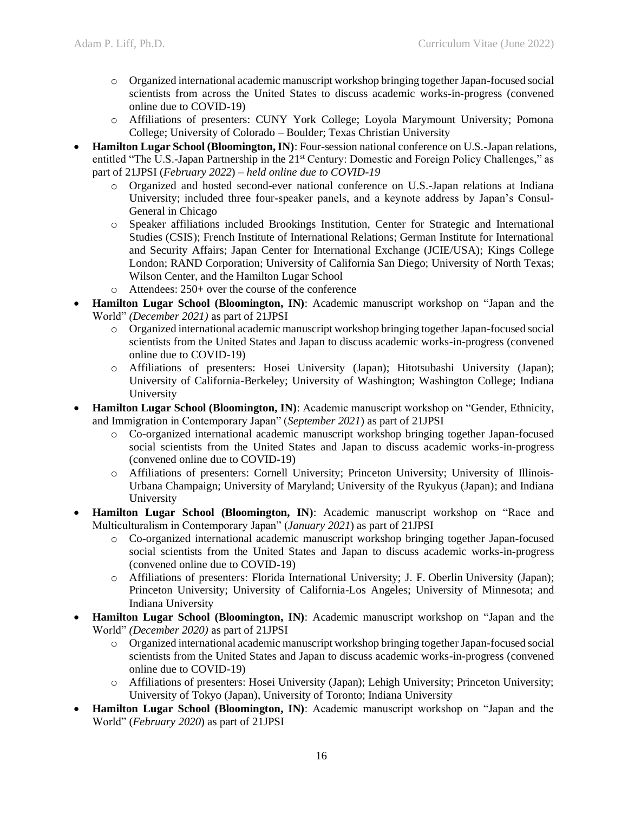- o Organized international academic manuscript workshop bringing together Japan-focused social scientists from across the United States to discuss academic works-in-progress (convened online due to COVID-19)
- o Affiliations of presenters: CUNY York College; Loyola Marymount University; Pomona College; University of Colorado – Boulder; Texas Christian University
- **Hamilton Lugar School (Bloomington, IN)**: Four-session national conference on U.S.-Japan relations, entitled "The U.S.-Japan Partnership in the 21<sup>st</sup> Century: Domestic and Foreign Policy Challenges," as part of 21JPSI (*February 2022*) *– held online due to COVID-19*
	- o Organized and hosted second-ever national conference on U.S.-Japan relations at Indiana University; included three four-speaker panels, and a keynote address by Japan's Consul-General in Chicago
	- o Speaker affiliations included Brookings Institution, Center for Strategic and International Studies (CSIS); French Institute of International Relations; German Institute for International and Security Affairs; Japan Center for International Exchange (JCIE/USA); Kings College London; RAND Corporation; University of California San Diego; University of North Texas; Wilson Center, and the Hamilton Lugar School
	- o Attendees: 250+ over the course of the conference
- **Hamilton Lugar School (Bloomington, IN)**: Academic manuscript workshop on "Japan and the World" *(December 2021)* as part of 21JPSI
	- o Organized international academic manuscript workshop bringing together Japan-focused social scientists from the United States and Japan to discuss academic works-in-progress (convened online due to COVID-19)
	- o Affiliations of presenters: Hosei University (Japan); Hitotsubashi University (Japan); University of California-Berkeley; University of Washington; Washington College; Indiana University
- **Hamilton Lugar School (Bloomington, IN)**: Academic manuscript workshop on "Gender, Ethnicity, and Immigration in Contemporary Japan" (*September 2021*) as part of 21JPSI
	- o Co-organized international academic manuscript workshop bringing together Japan-focused social scientists from the United States and Japan to discuss academic works-in-progress (convened online due to COVID-19)
	- o Affiliations of presenters: Cornell University; Princeton University; University of Illinois-Urbana Champaign; University of Maryland; University of the Ryukyus (Japan); and Indiana University
- **Hamilton Lugar School (Bloomington, IN)**: Academic manuscript workshop on "Race and Multiculturalism in Contemporary Japan" (*January 2021*) as part of 21JPSI
	- o Co-organized international academic manuscript workshop bringing together Japan-focused social scientists from the United States and Japan to discuss academic works-in-progress (convened online due to COVID-19)
	- o Affiliations of presenters: Florida International University; J. F. Oberlin University (Japan); Princeton University; University of California-Los Angeles; University of Minnesota; and Indiana University
- **Hamilton Lugar School (Bloomington, IN)**: Academic manuscript workshop on "Japan and the World" *(December 2020)* as part of 21JPSI
	- o Organized international academic manuscript workshop bringing together Japan-focused social scientists from the United States and Japan to discuss academic works-in-progress (convened online due to COVID-19)
	- o Affiliations of presenters: Hosei University (Japan); Lehigh University; Princeton University; University of Tokyo (Japan), University of Toronto; Indiana University
- **Hamilton Lugar School (Bloomington, IN)**: Academic manuscript workshop on "Japan and the World" (*February 2020*) as part of 21JPSI